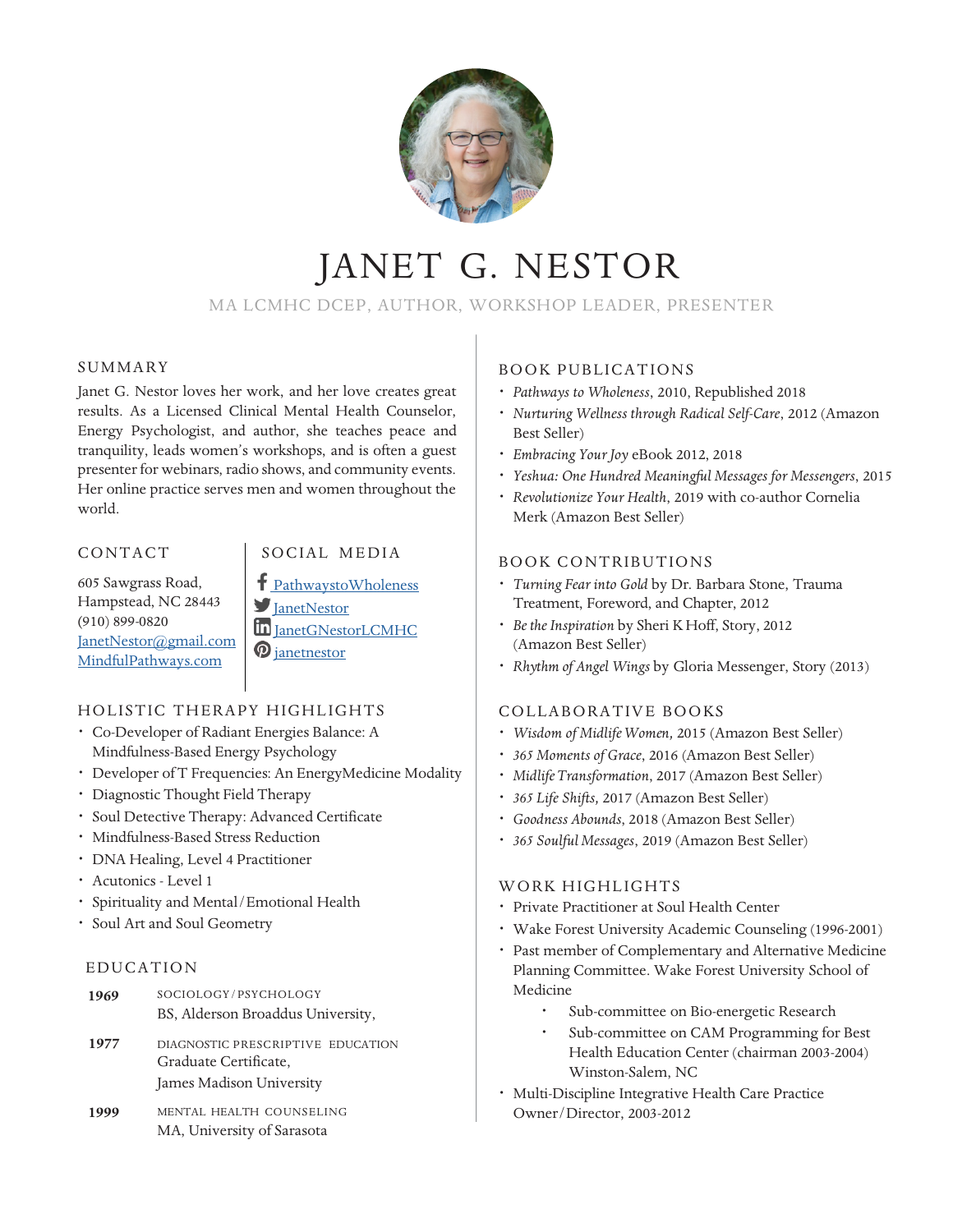

### MA LCMHC DCEP, AUTHOR, WORKSHOP LEADER, PRESENTER

#### SUMMARY

Janet G. Nestor loves her work, and her love creates great results. As a Licensed Clinical Mental Health Counselor, Energy Psychologist, and author, she teaches peace and tranquility, leads women's workshops, and is often a guest presenter for webinars, radio shows, and community events. Her online practice serves men and women throughout the world.

#### CONTACT

605 Sawgrass Road, Hampstead, NC 28443 **(**910) 899-0820 JanetNestor@gmail.com MindfulPathways.com

### SOCIAL MEDIA

PathwaystoWholeness  $\blacksquare$  JanetNestor in JanetGNestorLCMHC *O* janetnestor

### HOLISTIC THERAPY HIGHLIGHTS

- *·* Co-Developer of Radiant Energies Balance: A Mindfulness-Based Energy Psychology
- *·* Developer of T Frequencies: An EnergyMedicine Modality
- *·* Diagnostic Thought Field Therapy
- *·* Soul Detective Therapy: Advanced Certificate
- *·* Mindfulness-Based Stress Reduction
- *·* DNA Healing, Level 4 Practitioner
- *·* Acutonics Level 1
- *·* Spirituality and Mental/Emotional Health
- *·* Soul Art and Soul Geometry

#### EDUCATION

- SOCIOLOGY/PSYCHOLOGY BS, Alderson Broaddus University, **1969**
- DIAGNOSTIC PRESCRIPTIVE EDUCATION Graduate Certificate, James Madison University **1977**
- MENTAL HEALTH COUNSELING MA, University of Sarasota **1999**

#### BOOK PUBLICATIONS

- *· Pathways to Wholeness*, 2010, Republished 2018
- *· Nurturing Wellness through Radical Self-Care*, 2012 (Amazon Best Seller)
- *· Embracing Your Joy* eBook 2012, 2018
- *· Yeshua: One Hundred Meaningful Messages for Messengers*, 2015
- *· Revolutionize Your Health*, 2019 with co-author Cornelia Merk (Amazon Best Seller)

#### BOOK CONTRIBUTIONS

- *· Turning Fear into Gold* by Dr. Barbara Stone, Trauma Treatment, Foreword, and Chapter, 2012
- *· Be the Inspiration* by Sheri K Hoff, Story, 2012 (Amazon Best Seller)
- *· Rhythm of Angel Wings* by Gloria Messenger, Story (2013)

#### COLLABORATIVE BOOKS

- *· Wisdom of MidlifeWomen,* 2015 (Amazon Best Seller)
- *· 365 Moments of Grace*, 2016 (Amazon Best Seller)
- *· MidlifeTransformation*, 2017 (Amazon Best Seller)
- *· 365 Life Shifts,* 2017 (Amazon Best Seller)
- *· Goodness Abounds*, 2018 (Amazon Best Seller)
- *· 365 Soulful Messages*, 2019 (Amazon Best Seller)

#### WORK HIGHLIGHTS

- *·* Private Practitioner at Soul Health Center
- *·* Wake Forest University Academic Counseling (1996-2001)
- *·* Past member of Complementary and Alternative Medicine Planning Committee. Wake Forest University School of Medicine
	- Sub-committee on Bio-energetic Research
	- *·* Sub-committee on CAM Programming for Best Health Education Center (chairman 2003-2004) Winston-Salem, NC
- *·* Multi-Discipline Integrative Health Care Practice Owner/Director, 2003-2012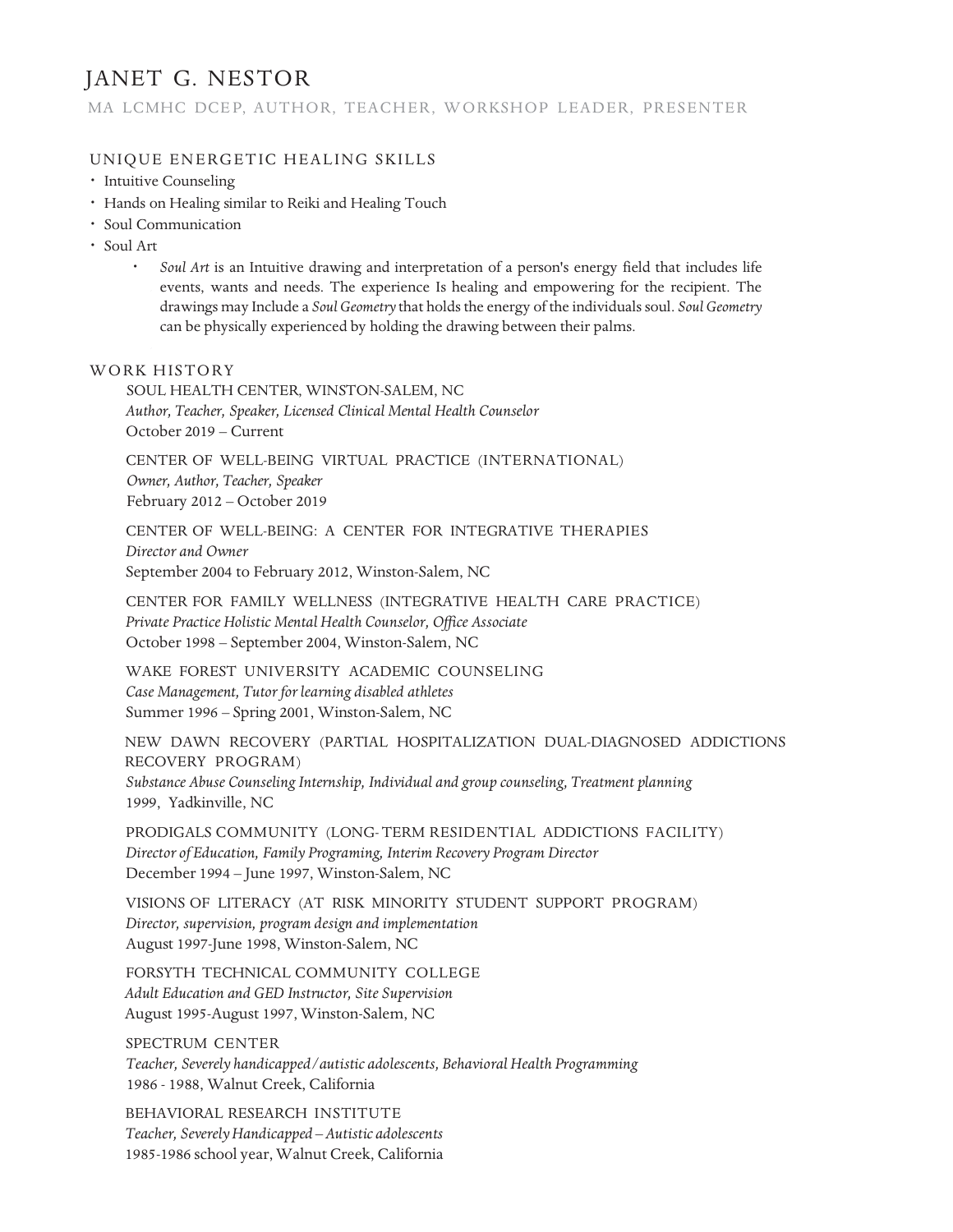MA LCMHC DCEP, AUTHOR, TEACHER, WORKSHOP LEADER, PRESENTER

#### UNIQUE ENERGETIC HEALING SKILLS

- *·* Intuitive Counseling
- *·* Hands on Healing similar to Reiki and Healing Touch
- *·* Soul Communication
- *·* Soul Art
	- *· Soul Art* is an Intuitive drawing and interpretation of a person's energy field that includes life events, wants and needs. The experience Is healing and empowering for the recipient. The drawings may Include a *Soul Geometry* that holds the energy of the individuals soul. *Soul Geometry* can be physically experienced by holding the drawing between their palms.

#### WORK HISTORY

SOUL HEALTH CENTER, WINSTON-SALEM, NC *Author, Teacher, Speaker, Licensed Clinical Mental Health Counselor* October 2019 – Current

CENTER OF WELL-BEING VIRTUAL PRACTICE (INTERNATIONAL) *Owner, Author, Teacher, Speaker* February 2012 – October 2019

CENTER OF WELL-BEING: A CENTER FOR INTEGRATIVE THERAPIES *Director and Owner* September 2004 to February 2012, Winston-Salem, NC

CENTER FOR FAMILY WELLNESS (INTEGRATIVE HEALTH CARE PRACTICE) *Private Practice Holistic MentalHealth Counselor, Office Associate* October 1998 – September 2004, Winston-Salem, NC

WAKE FOREST UNIVERSITY ACADEMIC COUNSELING *Case Management, Tutor for learning disabled athletes* Summer 1996 – Spring 2001, Winston-Salem, NC

NEW DAWN RECOVERY (PARTIAL HOSPITALIZATION DUAL-DIAGNOSED ADDICTIONS RECOVERY PROGRAM) *Substance Abuse CounselingInternship, Individual and group counseling, Treatment planning* 1999, Yadkinville, NC

PRODIGALS COMMUNITY (LONG-TERM RESIDENTIAL ADDICTIONS FACILITY) *Director of Education, Family Programing, Interim Recovery Program Director* December 1994 – June 1997, Winston-Salem, NC

VISIONS OF LITERACY (AT RISK MINORITY STUDENT SUPPORT PROGRAM) *Director, supervision, program design and implementation* August 1997-June 1998, Winston-Salem, NC

FORSYTH TECHNICAL COMMUNITY COLLEGE *Adult Education and GED Instructor, Site Supervision* August 1995-August 1997, Winston-Salem, NC

SPECTRUM CENTER *Teacher, Severely handicapped/autistic adolescents, BehavioralHealth Programming* 1986 - 1988, Walnut Creek, California

BEHAVIORAL RESEARCH INSTITUTE *Teacher, SeverelyHandicapped – Autistic adolescents* 1985-1986 school year,Walnut Creek, California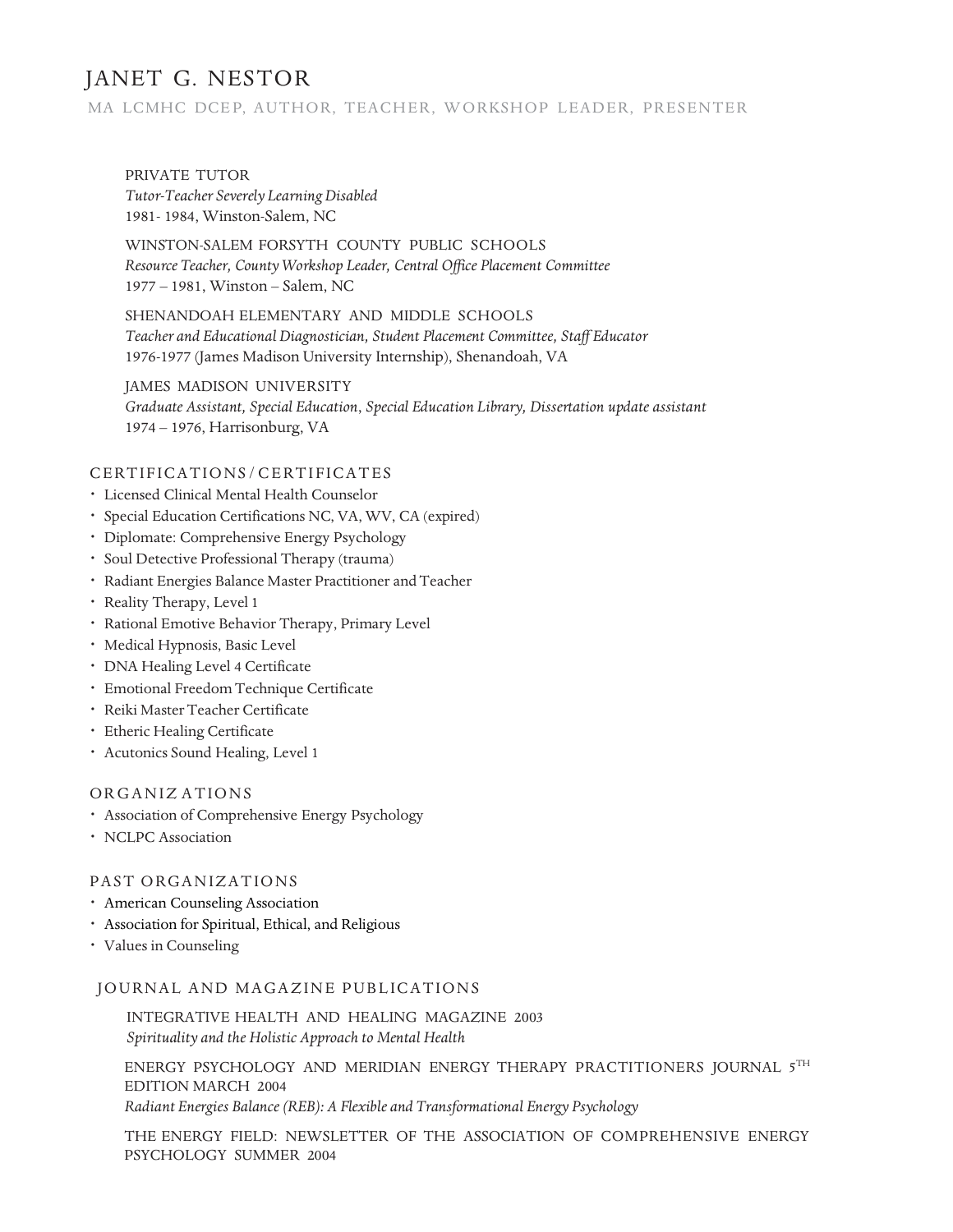#### MA LCMHC DCE P, AUTHOR, TEACHER, WORKSHOP LEADER, PRESENTER

PRIVATE TUTOR *Tutor-Teacher Severely Learning Disabled* 1981- 1984, Winston-Salem, NC

WINSTON-SALEM FORSYTH COUNTY PUBLIC SCHOOLS *Resource Teacher, CountyWorkshop Leader, Central Office Placement Committee* 1977 – 1981, Winston – Salem, NC

SHENANDOAH ELEMENTARY AND MIDDLE SCHOOLS *Teacher and Educational Diagnostician, Student Placement Committee, Staff Educator* 1976-1977 (James Madison University Internship), Shenandoah, VA

JAMES MADISON UNIVERSITY *Graduate Assistant, Special Education*, *Special Education Library, Dissertation update assistant* 1974 – 1976, Harrisonburg, VA

#### CERTIFICATIONS/CERTIFICATES

- *·* Licensed Clinical Mental Health Counselor
- *·* Special Education Certifications NC, VA, WV, CA (expired)
- *·* Diplomate: Comprehensive Energy Psychology
- *·* Soul Detective Professional Therapy (trauma)
- *·* Radiant Energies Balance Master Practitioner and Teacher
- *·* Reality Therapy, Level 1
- *·* Rational Emotive Behavior Therapy, Primary Level
- *·* Medical Hypnosis, Basic Level
- *·* DNA Healing Level 4 Certificate
- *·* Emotional Freedom Technique Certificate
- **·** Reiki Master Teacher Certificate
- *·* Etheric Healing Certificate
- *·* Acutonics Sound Healing, Level 1

#### ORGANIZ ATIONS

- *·* Association of Comprehensive Energy Psychology
- *·* NCLPC Association

#### PAST ORGANIZATIONS

- *·* American Counseling Association
- *·* Association for Spiritual, Ethical, and Religious
- *·* Values in Counseling

#### JOURNAL AND MAGAZINE PUBLICATIONS

INTEGRATIVE HEALTH AND HEALING MAGAZINE 2003 *Spirituality and the Holistic Approach to Mental Health*

ENERGY PSYCHOLOGY AND MERIDIAN ENERGY THERAPY PRACTITIONERS JOURNAL 5TH EDITION MARCH 2004

*Radiant Energies Balance (REB): A Flexible and Transformational Energy Psychology*

THE ENERGY FIELD: NEWSLETTER OF THE ASSOCIATION OF COMPREHENSIVE ENERGY PSYCHOLOGY SUMMER 2004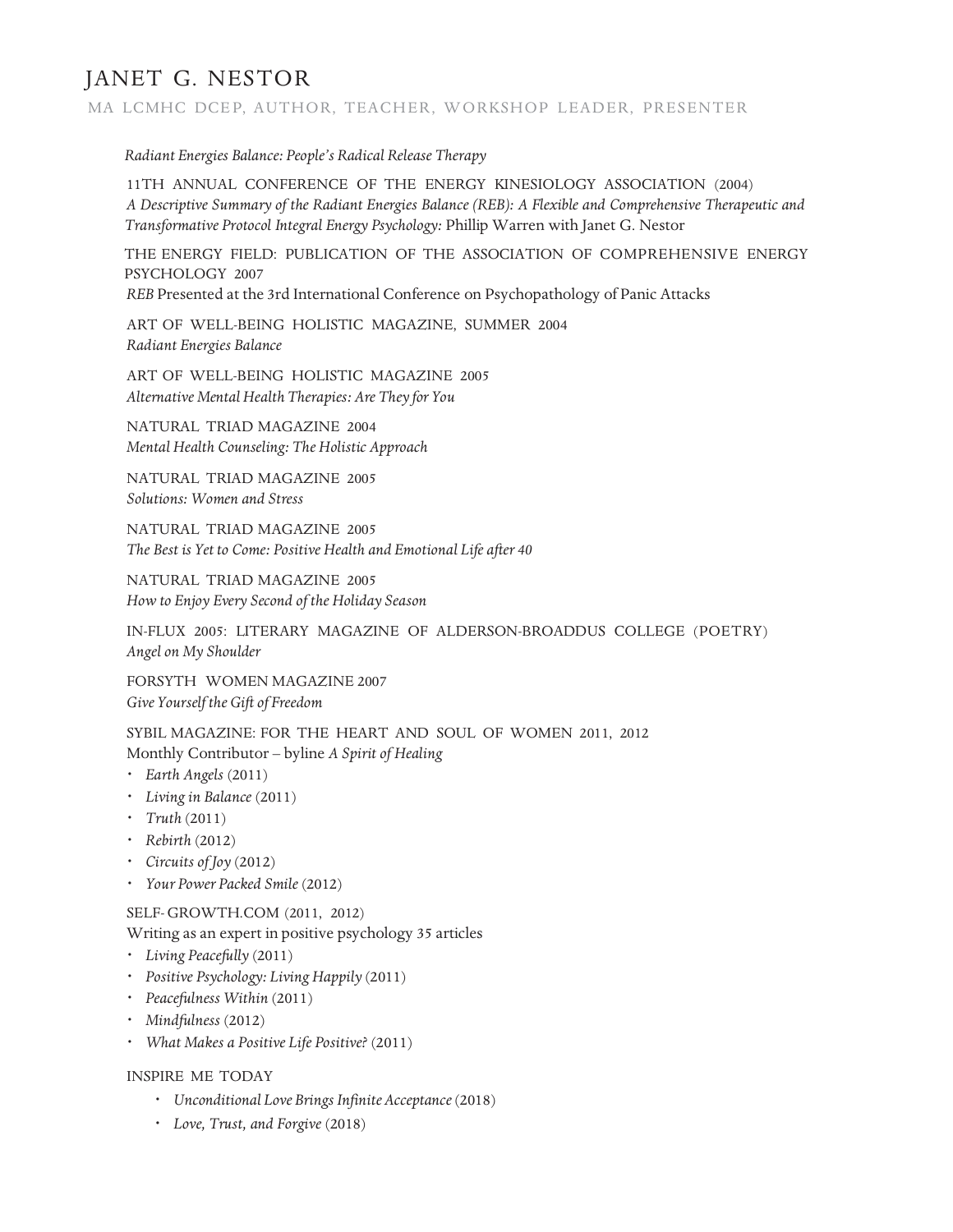MA LCMHC DCEP, AUTHOR, TEACHER, WORKSHOP LEADER, PRESENTER

*Radiant Energies Balance: People's Radical Release Therapy*

11TH ANNUAL CONFERENCE OF THE ENERGY KINESIOLOGY ASSOCIATION (2004) *A Descriptive Summary of the Radiant Energies Balance (REB): A Flexible and Comprehensive Therapeutic and Transformative Protocol Integral Energy Psychology:* Phillip Warren with Janet G. Nestor

THE ENERGY FIELD: PUBLICATION OF THE ASSOCIATION OF COMPREHENSIVE ENERGY PSYCHOLOGY 2007

*REB* Presented at the 3rd International Conference on Psychopathology of Panic Attacks

ART OF WELL-BEING HOLISTIC MAGAZINE, SUMMER 2004 *Radiant Energies Balance*

ART OF WELL-BEING HOLISTIC MAGAZINE 2005 *Alternative MentalHealth Therapies: Are They for You*

NATURAL TRIAD MAGAZINE 2004 *Mental Health Counseling: The Holistic Approach*

NATURAL TRIAD MAGAZINE 2005 *Solutions: Women and Stress*

NATURAL TRIAD MAGAZINE 2005 *The Best is Yet to Come: Positive Health and Emotional Life after 40*

NATURAL TRIAD MAGAZINE 2005 *How to Enjoy Every Second of the Holiday Season*

IN-FLUX 2005: LITERARY MAGAZINE OF ALDERSON-BROADDUS COLLEGE (POETRY) *Angel on My Shoulder*

FORSYTH WOMEN MAGAZINE 2007 *Give Yourself the Gift of Freedom*

SYBIL MAGAZINE: FOR THE HEART AND SOUL OF WOMEN 2011, 2012 Monthly Contributor – byline *A Spirit of Healing*

- *· Earth Angels* (2011)
- *· Livingin Balance* (2011)
- *· Truth* (2011)
- *· Rebirth* (2012)
- *· Circuits of Joy* (2012)
- *· Your Power Packed Smile* (2012)

SELF-GROWTH.COM (2011, 2012)

Writing as an expert in positive psychology 35 articles

- *· Living Peacefully* (2011)
- *· Positive Psychology: Living Happily* (2011)
- *· Peacefulness Within* (2011)
- *· Mindfulness* (2012)
- *· What Makes a Positive Life Positive?* (2011)

INSPIRE ME TODAY

- *· Unconditional Love Brings Infinite Acceptance* (2018)
- *· Love, Trust, and Forgive* (2018)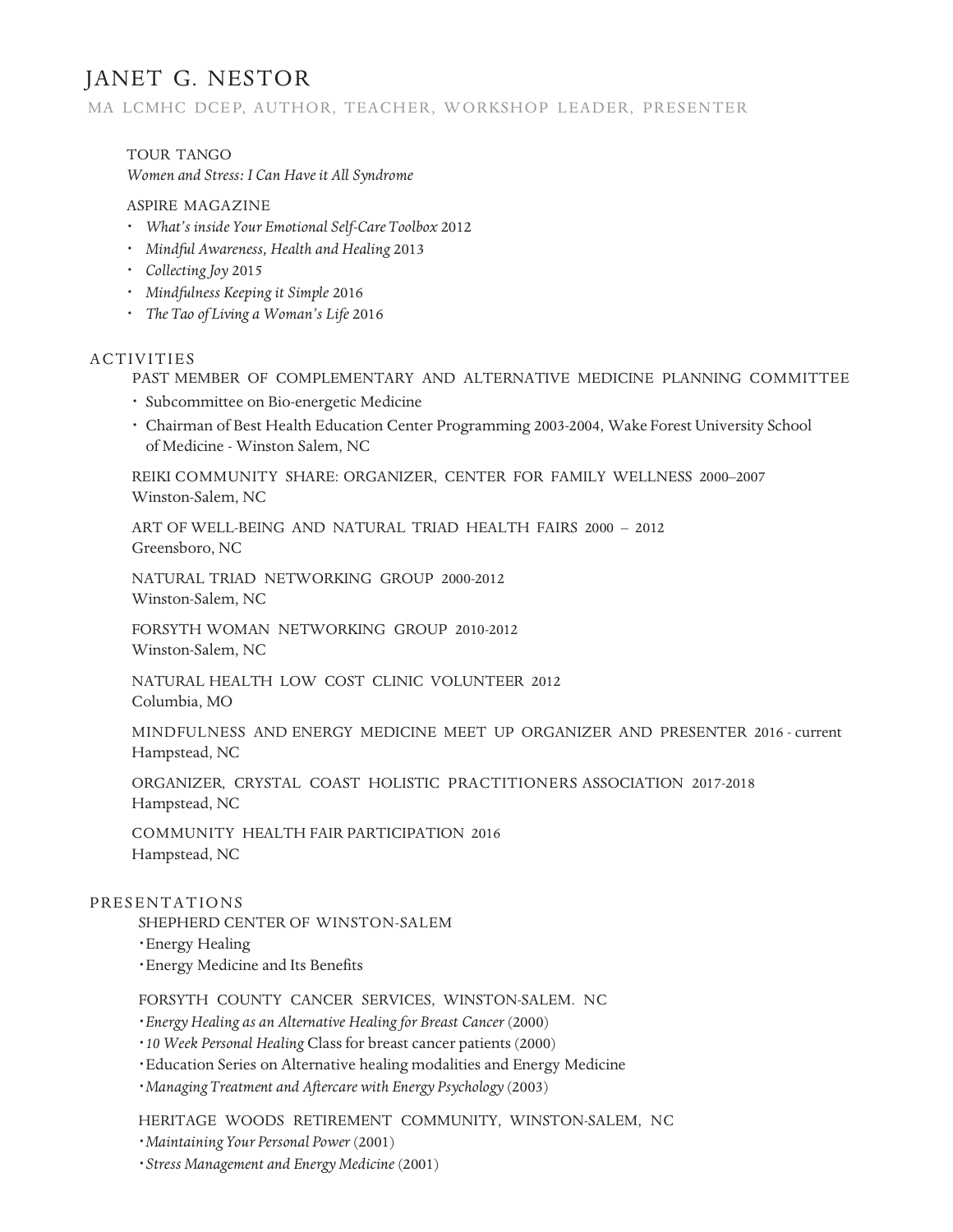#### MA LCMHC DCEP, AUTHOR, TEACHER, WORKSHOP LEADER, PRESENTER

TOUR TANGO *Women and Stress: I Can Have it All Syndrome*

#### ASPIRE MAGAZINE

- *· What's inside Your Emotional Self-CareToolbox* 2012
- *· Mindful Awareness, Health and Healing* 2013
- **·** *Collecting Joy* 2015
- *· Mindfulness Keepingit Simple* 2016
- *· The Tao of Living a Woman's Life* 2016

#### ACTIVITIES

PAST MEMBER OF COMPLEMENTARY AND ALTERNATIVE MEDICINE PLANNING COMMITTEE

- *·* Subcommittee on Bio-energetic Medicine
- *·* Chairman of Best Health Education Center Programming 2003-2004, Wake Forest University School of Medicine - Winston Salem, NC

REIKI COMMUNITY SHARE: ORGANIZER, CENTER FOR FAMILY WELLNESS 2000–2007 Winston-Salem, NC

ART OF WELL-BEING AND NATURAL TRIAD HEALTH FAIRS 2000 – 2012 Greensboro, NC

NATURAL TRIAD NETWORKING GROUP 2000-2012 Winston-Salem, NC

FORSYTH WOMAN NETWORKING GROUP 2010-2012 Winston-Salem, NC

NATURAL HEALTH LOW COST CLINIC VOLUNTEER 2012 Columbia, MO

MINDFULNESS AND ENERGY MEDICINE MEET UP ORGANIZER AND PRESENTER 2016 - current Hampstead, NC

ORGANIZER, CRYSTAL COAST HOLISTIC PRACTITIONERS ASSOCIATION 2017-2018 Hampstead, NC

COMMUNITY HEALTH FAIR PARTICIPATION 2016 Hampstead, NC

#### PRESENTATIONS

SHEPHERD CENTER OF WINSTON-SALEM

*·*Energy Healing

*·*Energy Medicine and Its Benefits

FORSYTH COUNTY CANCER SERVICES, WINSTON-SALEM. NC

*·Energy Healing as an Alternative Healingfor Breast Cancer* (2000)

*·10 Week Personal Healing* Class for breast cancer patients (2000)

*·*Education Series on Alternative healing modalities and Energy Medicine

*·ManagingTreatment and Aftercare with Energy Psychology* (2003)

HERITAGE WOODS RETIREMENT COMMUNITY, WINSTON-SALEM, NC

*·Maintaining Your Personal Power* (2001)

*·Stress Management and Energy Medicine* (2001)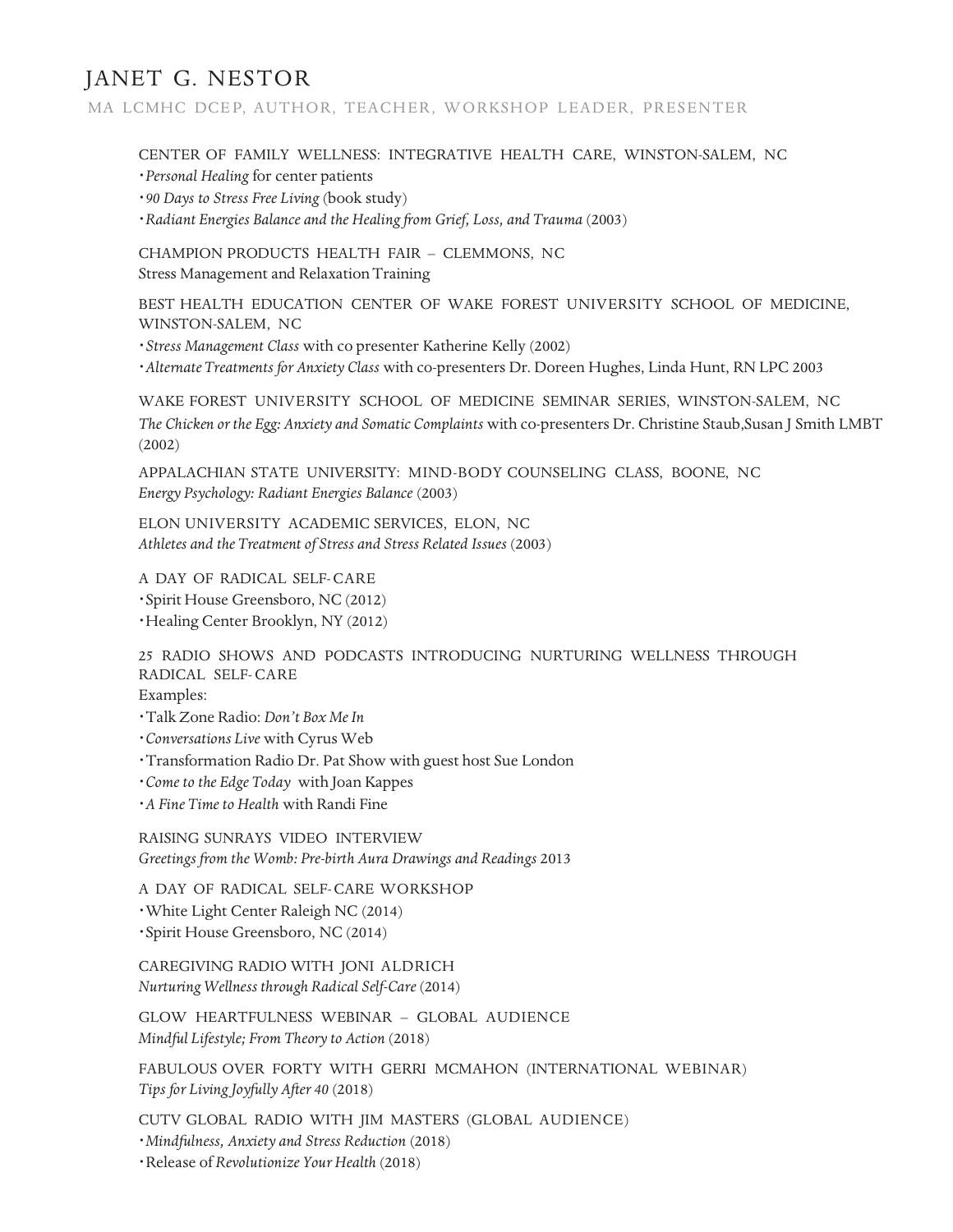MA LCMHC DCEP, AUTHOR, TEACHER, WORKSHOP LEADER, PRESENTER

CENTER OF FAMILY WELLNESS: INTEGRATIVE HEALTH CARE, WINSTON-SALEM, NC

*·Personal Healing* for center patients

*·90 Days to Stress Free Living* (book study)

*·Radiant Energies Balance and the Healingfrom Grief, Loss, and Trauma* (2003)

CHAMPION PRODUCTS HEALTH FAIR – CLEMMONS, NC Stress Management and Relaxation Training

BEST HEALTH EDUCATION CENTER OF WAKE FOREST UNIVERSITY SCHOOL OF MEDICINE, WINSTON-SALEM, NC

*·Stress Management Class* with co presenter Katherine Kelly (2002)

*·AlternateTreatments for Anxiety Class* with co-presenters Dr. Doreen Hughes, Linda Hunt, RN LPC 2003

WAKE FOREST UNIVERSITY SCHOOL OF MEDICINE SEMINAR SERIES, WINSTON-SALEM, NC *The Chicken or the Egg: Anxiety and Somatic Complaints* with co-presenters Dr. Christine Staub,Susan J Smith LMBT (2002)

APPALACHIAN STATE UNIVERSITY: MIND-BODY COUNSELING CLASS, BOONE, NC *Energy Psychology: Radiant Energies Balance* (2003)

ELON UNIVERSITY ACADEMIC SERVICES, ELON, NC *Athletes and the Treatment of Stress and Stress Related Issues* (2003)

A DAY OF RADICAL SELF-CARE *·*Spirit House Greensboro, NC (2012) *·*Healing Center Brooklyn, NY (2012)

25 RADIO SHOWS AND PODCASTS INTRODUCING NURTURING WELLNESS THROUGH RADICAL SELF-CARE Examples:

*·*Talk Zone Radio: *Don't Box Me In*

*·Conversations Live* with Cyrus Web

*·*Transformation Radio Dr. Pat Show with guest host Sue London

*·Come to the Edge Today* with Joan Kappes

*·A Fine Time to Health* with Randi Fine

RAISING SUNRAYS VIDEO INTERVIEW *Greetings from the Womb: Pre-birth Aura Drawings and Readings* 2013

A DAY OF RADICAL SELF-CARE WORKSHOP *·*White Light Center Raleigh NC (2014) *·*Spirit House Greensboro, NC (2014)

CAREGIVING RADIO WITH JONI ALDRICH *NurturingWellness through Radical Self-Care* (2014)

GLOW HEARTFULNESS WEBINAR – GLOBAL AUDIENCE *Mindful Lifestyle; From Theory to Action* (2018)

FABULOUS OVER FORTY WITH GERRI MCMAHON (INTERNATIONAL WEBINAR) *Tips for LivingJoyfully After 40* (2018)

CUTV GLOBAL RADIO WITH JIM MASTERS (GLOBAL AUDIENCE)

*·Mindfulness, Anxiety and Stress Reduction* (2018)

*·*Release of *Revolutionize Your Health* (2018)